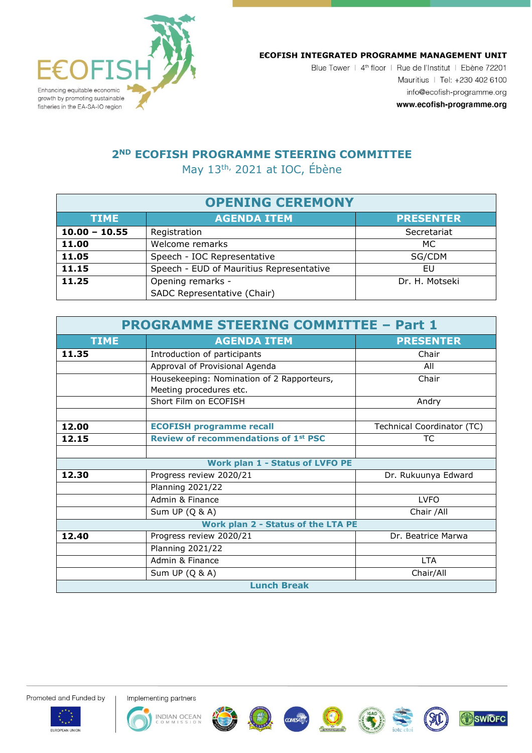

## ECOFISH INTEGRATED PROGRAMME MANAGEMENT UNIT

Blue Tower | 4<sup>th</sup> floor | Rue de l'Institut | Ebène 72201 Mauritius | Tel: +230 402 6100 info@ecofish-programme.org www.ecofish-programme.org

**SWIOFC** 

## **2ND ECOFISH PROGRAMME STEERING COMMITTEE**

May 13<sup>th,</sup> 2021 at IOC, Ébène

| <b>OPENING CEREMONY</b> |                                          |                  |  |  |
|-------------------------|------------------------------------------|------------------|--|--|
| <b>TIME</b>             | <b>AGENDA ITEM</b>                       | <b>PRESENTER</b> |  |  |
| $10.00 - 10.55$         | Registration                             | Secretariat      |  |  |
| 11.00                   | Welcome remarks                          | MC.              |  |  |
| 11.05                   | Speech - IOC Representative              | SG/CDM           |  |  |
| 11.15                   | Speech - EUD of Mauritius Representative | EU               |  |  |
| 11.25                   | Opening remarks -                        | Dr. H. Motseki   |  |  |
|                         | SADC Representative (Chair)              |                  |  |  |

| <b>PROGRAMME STEERING COMMITTEE - Part 1</b> |                                             |                            |  |  |
|----------------------------------------------|---------------------------------------------|----------------------------|--|--|
| <b>TIME</b>                                  | <b>AGENDA ITEM</b>                          | <b>PRESENTER</b>           |  |  |
| 11.35                                        | Introduction of participants                | Chair                      |  |  |
|                                              | Approval of Provisional Agenda              | All                        |  |  |
|                                              | Housekeeping: Nomination of 2 Rapporteurs,  | Chair                      |  |  |
|                                              | Meeting procedures etc.                     |                            |  |  |
|                                              | Short Film on ECOFISH                       | Andry                      |  |  |
|                                              |                                             |                            |  |  |
| 12.00                                        | <b>ECOFISH programme recall</b>             | Technical Coordinator (TC) |  |  |
| 12.15                                        | <b>Review of recommendations of 1st PSC</b> | ТC                         |  |  |
|                                              |                                             |                            |  |  |
| <b>Work plan 1 - Status of LVFO PE</b>       |                                             |                            |  |  |
| 12.30                                        | Progress review 2020/21                     | Dr. Rukuunya Edward        |  |  |
|                                              | <b>Planning 2021/22</b>                     |                            |  |  |
|                                              | Admin & Finance                             | <b>LVFO</b>                |  |  |
|                                              | Sum UP $(Q & A)$                            | Chair /All                 |  |  |
| Work plan 2 - Status of the LTA PE           |                                             |                            |  |  |
| 12.40                                        | Progress review 2020/21                     | Dr. Beatrice Marwa         |  |  |
|                                              | <b>Planning 2021/22</b>                     |                            |  |  |
|                                              | Admin & Finance                             | <b>LTA</b>                 |  |  |
|                                              | Sum UP (Q & A)                              | Chair/All                  |  |  |
| <b>Lunch Break</b>                           |                                             |                            |  |  |